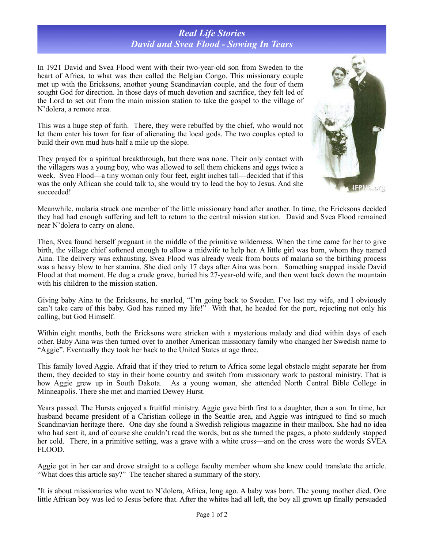## *Real Life Stories David and Svea Flood - Sowing In Tears*

In 1921 David and Svea Flood went with their two-year-old son from Sweden to the heart of Africa, to what was then called the Belgian Congo. This missionary couple met up with the Ericksons, another young Scandinavian couple, and the four of them sought God for direction. In those days of much devotion and sacrifice, they felt led of the Lord to set out from the main mission station to take the gospel to the village of N'dolera, a remote area.

This was a huge step of faith. There, they were rebuffed by the chief, who would not let them enter his town for fear of alienating the local gods. The two couples opted to build their own mud huts half a mile up the slope.

They prayed for a spiritual breakthrough, but there was none. Their only contact with the villagers was a young boy, who was allowed to sell them chickens and eggs twice a week. Svea Flood—a tiny woman only four feet, eight inches tall—decided that if this was the only African she could talk to, she would try to lead the boy to Jesus. And she succeeded!



Meanwhile, malaria struck one member of the little missionary band after another. In time, the Ericksons decided they had had enough suffering and left to return to the central mission station. David and Svea Flood remained near N'dolera to carry on alone.

Then, Svea found herself pregnant in the middle of the primitive wilderness. When the time came for her to give birth, the village chief softened enough to allow a midwife to help her. A little girl was born, whom they named Aina. The delivery was exhausting. Svea Flood was already weak from bouts of malaria so the birthing process was a heavy blow to her stamina. She died only 17 days after Aina was born. Something snapped inside David Flood at that moment. He dug a crude grave, buried his 27-year-old wife, and then went back down the mountain with his children to the mission station.

Giving baby Aina to the Ericksons, he snarled, "I'm going back to Sweden. I've lost my wife, and I obviously can't take care of this baby. God has ruined my life!" With that, he headed for the port, rejecting not only his calling, but God Himself.

Within eight months, both the Ericksons were stricken with a mysterious malady and died within days of each other. Baby Aina was then turned over to another American missionary family who changed her Swedish name to "Aggie". Eventually they took her back to the United States at age three.

This family loved Aggie. Afraid that if they tried to return to Africa some legal obstacle might separate her from them, they decided to stay in their home country and switch from missionary work to pastoral ministry. That is how Aggie grew up in South Dakota. As a young woman, she attended North Central Bible College in Minneapolis. There she met and married Dewey Hurst.

Years passed. The Hursts enjoyed a fruitful ministry. Aggie gave birth first to a daughter, then a son. In time, her husband became president of a Christian college in the Seattle area, and Aggie was intrigued to find so much Scandinavian heritage there. One day she found a Swedish religious magazine in their mailbox. She had no idea who had sent it, and of course she couldn't read the words, but as she turned the pages, a photo suddenly stopped her cold. There, in a primitive setting, was a grave with a white cross—and on the cross were the words SVEA FLOOD.

Aggie got in her car and drove straight to a college faculty member whom she knew could translate the article. "What does this article say?" The teacher shared a summary of the story.

"It is about missionaries who went to N'dolera, Africa, long ago. A baby was born. The young mother died. One little African boy was led to Jesus before that. After the whites had all left, the boy all grown up finally persuaded